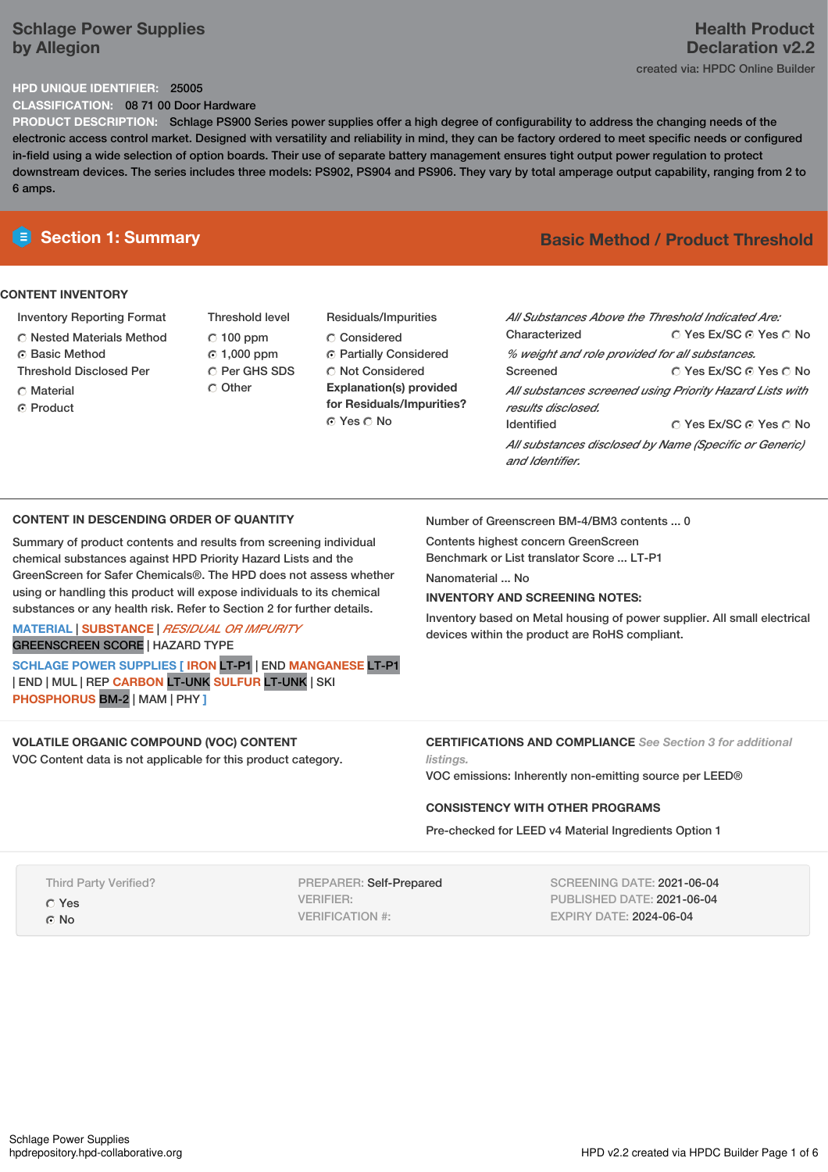# **Schlage Power Supplies by Allegion**

# **Health Product Declaration v2.2** created via: HPDC Online Builder

# **HPD UNIQUE IDENTIFIER:** 25005

**CLASSIFICATION:** 08 71 00 Door Hardware

**PRODUCT DESCRIPTION:** Schlage PS900 Series power supplies offer a high degree of configurability to address the changing needs of the electronic access control market. Designed with versatility and reliability in mind, they can be factory ordered to meet specific needs or configured in-field using a wide selection of option boards. Their use of separate battery management ensures tight output power regulation to protect downstream devices. The series includes three models: PS902, PS904 and PS906. They vary by total amperage output capability, ranging from 2 to 6 amps.

# **CONTENT INVENTORY**

- Inventory Reporting Format
- Nested Materials Method
- **G** Basic Method
- Threshold Disclosed Per
- C Material
- Product
- Threshold level  $C$  100 ppm 1,000 ppm C Per GHS SDS O Other
- Residuals/Impurities Considered Partially Considered  $\bigcirc$  Not Considered **Explanation(s) provided for Residuals/Impurities?** © Yes ∩ No

# **E** Section 1: Summary **Basic** Method **/ Product Threshold**

| All Substances Above the Threshold Indicated Are:                              |                        |  |  |  |  |
|--------------------------------------------------------------------------------|------------------------|--|--|--|--|
| Characterized                                                                  | ∩ Yes Ex/SC ∩ Yes ∩ No |  |  |  |  |
| % weight and role provided for all substances.                                 |                        |  |  |  |  |
| Screened                                                                       | ○ Yes Ex/SC ⊙ Yes ○ No |  |  |  |  |
| All substances screened using Priority Hazard Lists with<br>results disclosed. |                        |  |  |  |  |
| <b>Identified</b>                                                              | ∩ Yes Ex/SC ∩ Yes ∩ No |  |  |  |  |
| All substances disclosed by Name (Specific or Generic)<br>and Identifier.      |                        |  |  |  |  |

# **CONTENT IN DESCENDING ORDER OF QUANTITY**

Summary of product contents and results from screening individual chemical substances against HPD Priority Hazard Lists and the GreenScreen for Safer Chemicals®. The HPD does not assess whether using or handling this product will expose individuals to its chemical substances or any health risk. Refer to Section 2 for further details.

**MATERIAL** | **SUBSTANCE** | *RESIDUAL OR IMPURITY* GREENSCREEN SCORE | HAZARD TYPE

**SCHLAGE POWER SUPPLIES [ IRON** LT-P1 | END **MANGANESE** LT-P1 | END | MUL | REP **CARBON** LT-UNK **SULFUR** LT-UNK | SKI **PHOSPHORUS** BM-2 | MAM | PHY **]**

# **VOLATILE ORGANIC COMPOUND (VOC) CONTENT**

VOC Content data is not applicable for this product category.

Number of Greenscreen BM-4/BM3 contents ... 0

Contents highest concern GreenScreen Benchmark or List translator Score ... LT-P1

Nanomaterial ... No

# **INVENTORY AND SCREENING NOTES:**

Inventory based on Metal housing of power supplier. All small electrical devices within the product are RoHS compliant.

**CERTIFICATIONS AND COMPLIANCE** *See Section 3 for additional listings.*

VOC emissions: Inherently non-emitting source per LEED®

### **CONSISTENCY WITH OTHER PROGRAMS**

Pre-checked for LEED v4 Material Ingredients Option 1

Third Party Verified?

Yes ⊙ No

PREPARER: Self-Prepared VERIFIER: VERIFICATION #:

SCREENING DATE: 2021-06-04 PUBLISHED DATE: 2021-06-04 EXPIRY DATE: 2024-06-04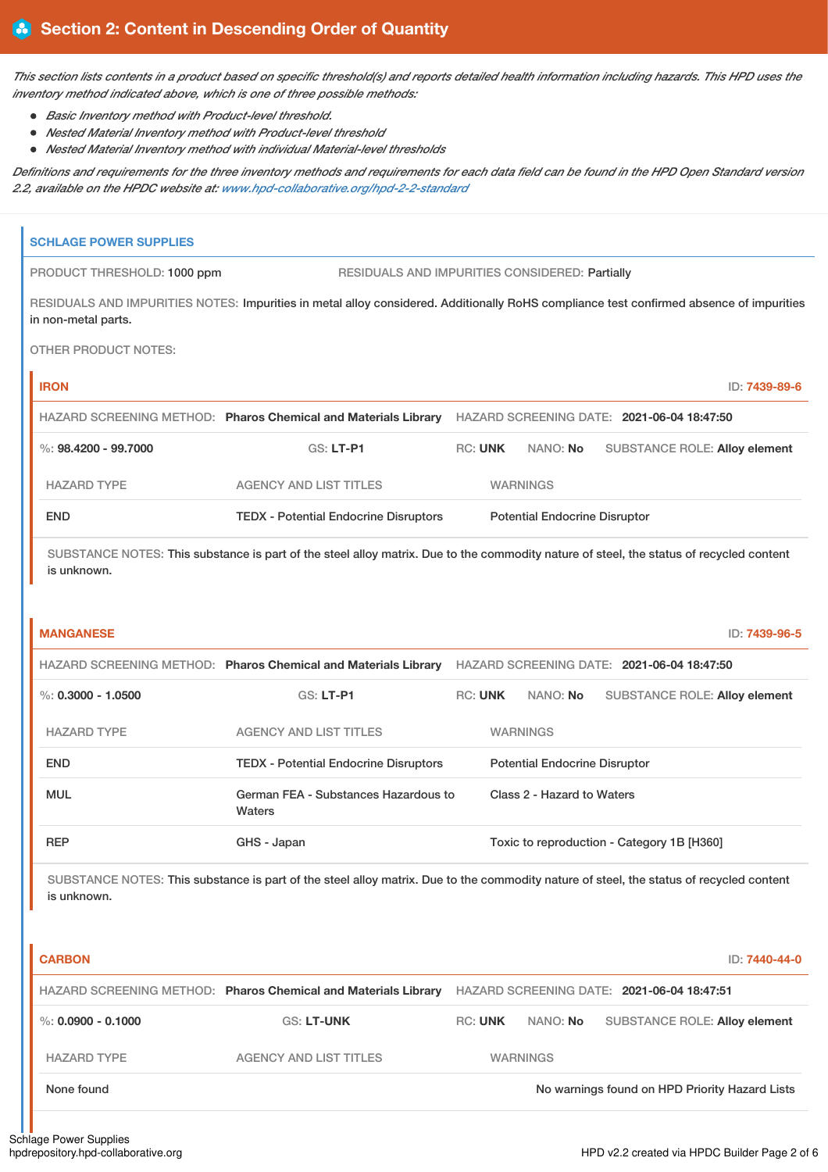This section lists contents in a product based on specific threshold(s) and reports detailed health information including hazards. This HPD uses the *inventory method indicated above, which is one of three possible methods:*

- *Basic Inventory method with Product-level threshold.*
- *Nested Material Inventory method with Product-level threshold*
- *Nested Material Inventory method with individual Material-level thresholds*

Definitions and requirements for the three inventory methods and requirements for each data field can be found in the HPD Open Standard version *2.2, available on the HPDC website at: [www.hpd-collaborative.org/hpd-2-2-standard](https://www.hpd-collaborative.org/hpd-2-2-standard)*

|                                                                                                                                                        | <b>SCHLAGE POWER SUPPLIES</b>                                                                                                                                  |                                                                                                           |                            |                                            |  |                                      |
|--------------------------------------------------------------------------------------------------------------------------------------------------------|----------------------------------------------------------------------------------------------------------------------------------------------------------------|-----------------------------------------------------------------------------------------------------------|----------------------------|--------------------------------------------|--|--------------------------------------|
|                                                                                                                                                        | PRODUCT THRESHOLD: 1000 ppm<br>RESIDUALS AND IMPURITIES CONSIDERED: Partially                                                                                  |                                                                                                           |                            |                                            |  |                                      |
|                                                                                                                                                        | RESIDUALS AND IMPURITIES NOTES: Impurities in metal alloy considered. Additionally RoHS compliance test confirmed absence of impurities<br>in non-metal parts. |                                                                                                           |                            |                                            |  |                                      |
|                                                                                                                                                        | <b>OTHER PRODUCT NOTES:</b>                                                                                                                                    |                                                                                                           |                            |                                            |  |                                      |
|                                                                                                                                                        | <b>IRON</b>                                                                                                                                                    |                                                                                                           |                            |                                            |  | ID: 7439-89-6                        |
|                                                                                                                                                        |                                                                                                                                                                | HAZARD SCREENING METHOD: Pharos Chemical and Materials Library HAZARD SCREENING DATE: 2021-06-04 18:47:50 |                            |                                            |  |                                      |
|                                                                                                                                                        | %: $98,4200 - 99,7000$                                                                                                                                         | GS: LT-P1                                                                                                 | <b>RC: UNK</b>             | NANO: No                                   |  | <b>SUBSTANCE ROLE: Alloy element</b> |
|                                                                                                                                                        | <b>HAZARD TYPE</b>                                                                                                                                             | <b>AGENCY AND LIST TITLES</b>                                                                             | <b>WARNINGS</b>            |                                            |  |                                      |
|                                                                                                                                                        | <b>END</b>                                                                                                                                                     | <b>TEDX - Potential Endocrine Disruptors</b>                                                              |                            | <b>Potential Endocrine Disruptor</b>       |  |                                      |
| SUBSTANCE NOTES: This substance is part of the steel alloy matrix. Due to the commodity nature of steel, the status of recycled content<br>is unknown. |                                                                                                                                                                |                                                                                                           |                            |                                            |  |                                      |
|                                                                                                                                                        | <b>MANGANESE</b>                                                                                                                                               |                                                                                                           |                            |                                            |  | ID: 7439-96-5                        |
|                                                                                                                                                        |                                                                                                                                                                | HAZARD SCREENING METHOD: Pharos Chemical and Materials Library HAZARD SCREENING DATE: 2021-06-04 18:47:50 |                            |                                            |  |                                      |
|                                                                                                                                                        | $\%$ : 0.3000 - 1.0500                                                                                                                                         | <b>GS: LT-P1</b>                                                                                          | <b>RC: UNK</b>             | NANO: No                                   |  | SUBSTANCE ROLE: Alloy element        |
|                                                                                                                                                        | <b>HAZARD TYPE</b>                                                                                                                                             | <b>AGENCY AND LIST TITLES</b>                                                                             |                            | <b>WARNINGS</b>                            |  |                                      |
|                                                                                                                                                        | <b>END</b>                                                                                                                                                     | <b>TEDX - Potential Endocrine Disruptors</b>                                                              |                            | <b>Potential Endocrine Disruptor</b>       |  |                                      |
| German FEA - Substances Hazardous to<br>MUL<br><b>Waters</b><br><b>REP</b><br>GHS - Japan                                                              |                                                                                                                                                                |                                                                                                           | Class 2 - Hazard to Waters |                                            |  |                                      |
|                                                                                                                                                        |                                                                                                                                                                |                                                                                                           |                            | Toxic to reproduction - Category 1B [H360] |  |                                      |
| SUBSTANCE NOTES: This substance is part of the steel alloy matrix. Due to the commodity nature of steel, the status of recycled content<br>is unknown. |                                                                                                                                                                |                                                                                                           |                            |                                            |  |                                      |
|                                                                                                                                                        | <b>CARBON</b>                                                                                                                                                  | HAZARD SCREENING METHOD: Pharos Chemical and Materials Library HAZARD SCREENING DATE: 2021-06-04 18:47:51 |                            |                                            |  | ID: 7440-44-0                        |
|                                                                                                                                                        | $\%$ : 0.0900 - 0.1000                                                                                                                                         | <b>GS: LT-UNK</b>                                                                                         | <b>RC: UNK</b>             | NANO: No                                   |  | SUBSTANCE ROLE: Alloy element        |
|                                                                                                                                                        |                                                                                                                                                                |                                                                                                           |                            |                                            |  |                                      |

HAZARD TYPE AGENCY AND LIST TITLES WARNINGS

None found Now we have been able to the No warnings found on HPD Priority Hazard Lists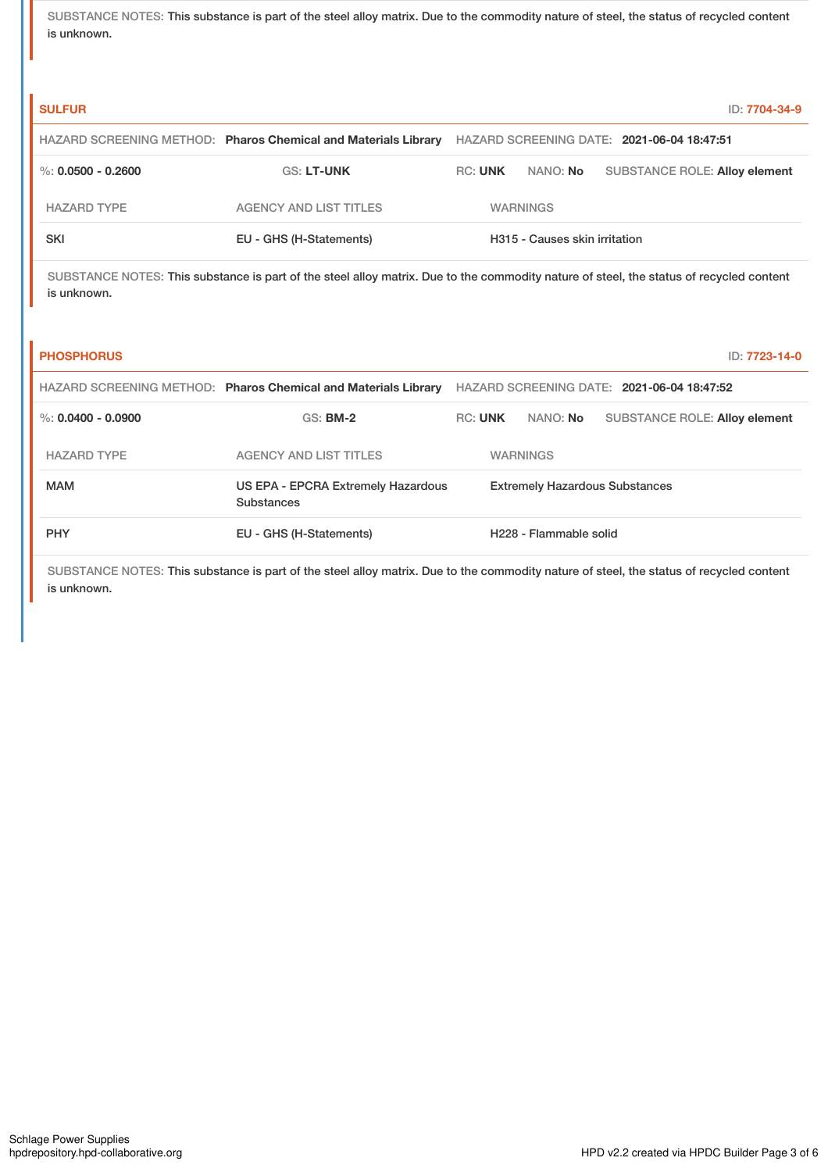SUBSTANCE NOTES: This substance is part of the steel alloy matrix. Due to the commodity nature of steel, the status of recycled content is unknown.

| <b>SULFUR</b>        |                                                                |                |                               | ID: 7704-34-9                              |
|----------------------|----------------------------------------------------------------|----------------|-------------------------------|--------------------------------------------|
|                      | HAZARD SCREENING METHOD: Pharos Chemical and Materials Library |                |                               | HAZARD SCREENING DATE: 2021-06-04 18:47:51 |
| %: $0.0500 - 0.2600$ | <b>GS: LT-UNK</b>                                              | <b>RC: UNK</b> | NANO: <b>No</b>               | <b>SUBSTANCE ROLE: Alloy element</b>       |
| <b>HAZARD TYPE</b>   | <b>AGENCY AND LIST TITLES</b>                                  |                | <b>WARNINGS</b>               |                                            |
| SKI                  | EU - GHS (H-Statements)                                        |                | H315 - Causes skin irritation |                                            |

SUBSTANCE NOTES: This substance is part of the steel alloy matrix. Due to the commodity nature of steel, the status of recycled content is unknown.

| <b>PHOSPHORUS</b>    |                                                                |                |                                       | ID: 7723-14-0                              |  |
|----------------------|----------------------------------------------------------------|----------------|---------------------------------------|--------------------------------------------|--|
|                      | HAZARD SCREENING METHOD: Pharos Chemical and Materials Library |                |                                       | HAZARD SCREENING DATE: 2021-06-04 18:47:52 |  |
| %: $0.0400 - 0.0900$ | $GS:$ BM-2                                                     | <b>RC: UNK</b> | NANO: <b>No</b>                       | <b>SUBSTANCE ROLE: Alloy element</b>       |  |
| <b>HAZARD TYPE</b>   | <b>AGENCY AND LIST TITLES</b>                                  |                | <b>WARNINGS</b>                       |                                            |  |
| <b>MAM</b>           | US EPA - EPCRA Extremely Hazardous<br>Substances               |                | <b>Extremely Hazardous Substances</b> |                                            |  |
| <b>PHY</b>           | EU - GHS (H-Statements)                                        |                | H <sub>228</sub> - Flammable solid    |                                            |  |

SUBSTANCE NOTES: This substance is part of the steel alloy matrix. Due to the commodity nature of steel, the status of recycled content is unknown.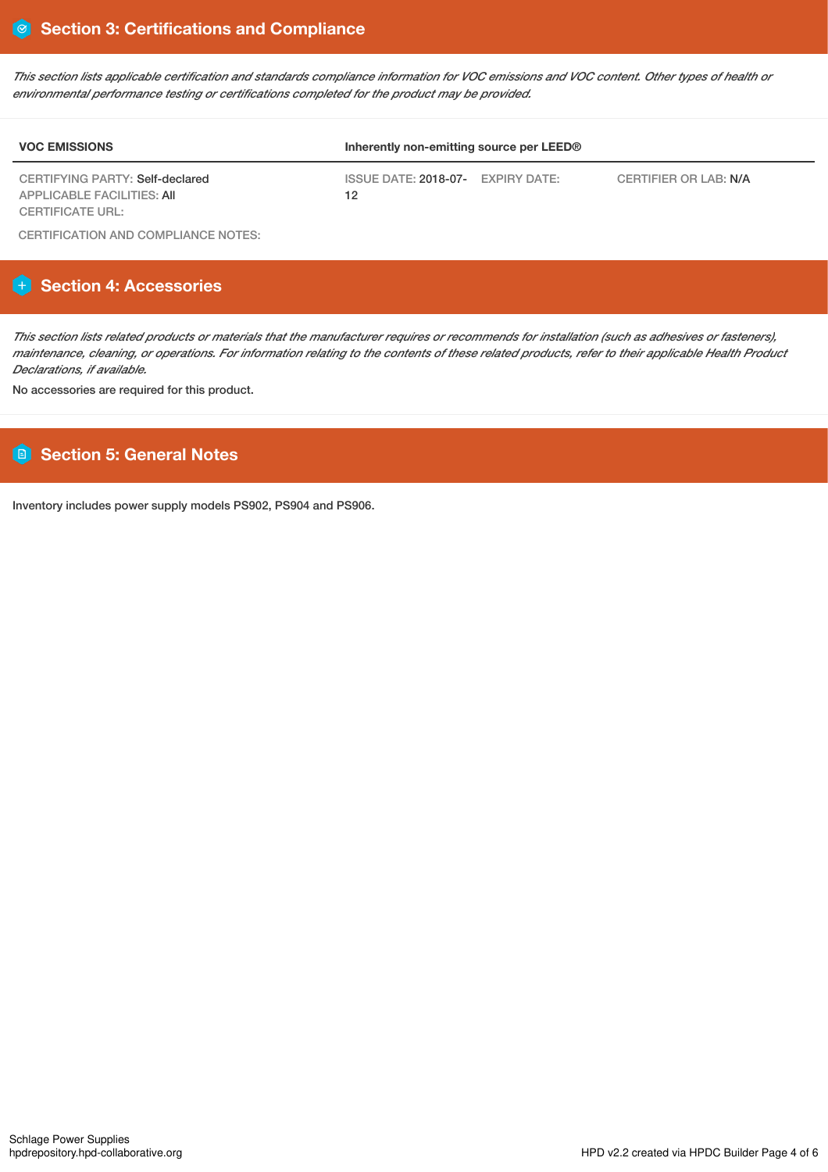This section lists applicable certification and standards compliance information for VOC emissions and VOC content. Other types of health or *environmental performance testing or certifications completed for the product may be provided.*

| <b>VOC EMISSIONS</b>                                                                            | Inherently non-emitting source per LEED® |                       |  |  |  |
|-------------------------------------------------------------------------------------------------|------------------------------------------|-----------------------|--|--|--|
| CERTIFYING PARTY: Self-declared<br><b>APPLICABLE FACILITIES: AII</b><br><b>CERTIFICATE URL:</b> | ISSUE DATE: 2018-07- EXPIRY DATE:<br>12  | CERTIFIER OR LAB: N/A |  |  |  |

CERTIFICATION AND COMPLIANCE NOTES:

# **Section 4: Accessories**

This section lists related products or materials that the manufacturer requires or recommends for installation (such as adhesives or fasteners), maintenance, cleaning, or operations. For information relating to the contents of these related products, refer to their applicable Health Product *Declarations, if available.*

No accessories are required for this product.

# **Section 5: General Notes**

Inventory includes power supply models PS902, PS904 and PS906.